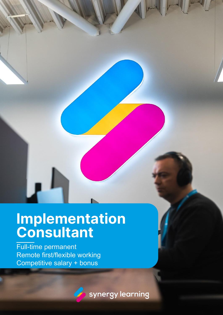### **Implementation Consultant**

Full-time permanent Remote first/flexible working Competitive salary + bonus

synergy learning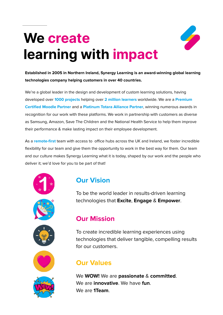# **We create learning with impact**



**Established in 2005 in Northern Ireland, Synergy Learning is an award-winning global learning technologies company helping customers in over 40 countries.**

We're a global leader in the design and development of custom learning solutions, having developed over **1000 projects** helping over **2 million learners** worldwide. We are a **Premium Certified Moodle Partner** and a **Platinum Totara Alliance Partner**, winning numerous awards in recognition for our work with these platforms. We work in partnership with customers as diverse as Samsung, Amazon, Save The Children and the National Health Service to help them improve their performance & make lasting impact on their employee development.

As a **remote-first** team with access to office hubs across the UK and Ireland, we foster incredible flexibility for our team and give them the opportunity to work in the best way for them. Our team and our culture makes Synergy Learning what it is today, shaped by our work and the people who deliver it; we'd love for you to be part of that!



#### **Our Vision**

To be the world leader in results-driven learning technologies that **Excite**, **Engage** & **Empower**.

#### **Our Mission**

To create incredible learning experiences using technologies that deliver tangible, compelling results for our customers.

#### **Our Values**

We **WOW!** We are **passionate** & **committed**. We are **innovative**. We have **fun**. We are **1Team**.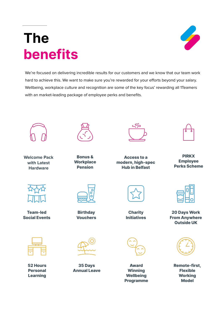### **The benefits**



We're focused on delivering incredible results for our customers and we know that our team work hard to achieve this. We want to make sure you're rewarded for your efforts beyond your salary. Wellbeing, workplace culture and recognition are some of the key focus' rewarding all 1Teamers with an market-leading package of employee perks and benefits.



**Welcome Pack with Latest Hardware**



**Team-led Social Events**



**52 Hours Personal Learning**



**Bonus & Workplace Pension**





**Access to a modern, high-spec Hub in Belfast**

**PIRKX Employee Perks Scheme**

**Charity Initiatives**



**Award Winning Wellbeing Programme**



**20 Days Work From Anywhere Outside UK**



**Remote-first, Flexible Working Model**

**Birthday**

**Vouchers**



**35 Days Annual Leave**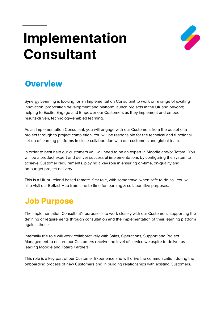### **Implementation Consultant**



### **Overview**

Synergy Learning is looking for an Implementation Consultant to work on a range of exciting innovation, proposition development and platform launch projects in the UK and beyond; helping to Excite, Engage and Empower our Customers as they implement and embed results-driven, technology-enabled learning.

As an Implementation Consultant, you will engage with our Customers from the outset of a project through to project completion. You will be responsible for the technical and functional set-up of learning platforms in close collaboration with our customers and global team.

In order to best help our customers you will need to be an expert in Moodle and/or Totara. You will be a product expert and deliver successful implementations by configuring the system to achieve Customer requirements, playing a key role in ensuring on-time, on-quality and on-budget project delivery.

This is a UK or Ireland based remote -first role, with some travel when safe to do so. You will also visit our Belfast Hub from time to time for learning & collaborative purposes.

### **Job Purpose**

The Implementation Consultant's purpose is to work closely with our Customers, supporting the defining of requirements through consultation and the implementation of their learning platform against these.

Internally the role will work collaboratively with Sales, Operations, Support and Project Management to ensure our Customers receive the level of service we aspire to deliver as leading Moodle and Totara Partners.

This role is a key part of our Customer Experience and will drive the communication during the onboarding process of new Customers and in building relationships with existing Customers.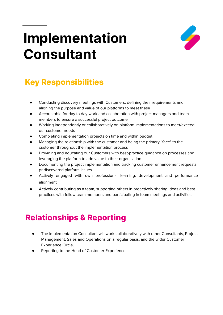### **Implementation Consultant**



### **Key Responsibilities**

- Conducting discovery meetings with Customers, defining their requirements and aligning the purpose and value of our platforms to meet these
- Accountable for day to day work and collaboration with project managers and team members to ensure a successful project outcome
- Working independently or collaboratively on platform implementations to meet/exceed our customer needs
- Completing implementation projects on time and within budget
- Managing the relationship with the customer and being the primary "face" to the customer throughout the implementation process
- Providing and educating our Customers with best-practice guidance on processes and leveraging the platform to add value to their organisation
- Documenting the project implementation and tracking customer enhancement requests pr discovered platform issues
- Actively engaged with own professional learning, development and performance alignment
- Actively contributing as a team, supporting others in proactively sharing ideas and best practices with fellow team members and participating in team meetings and activities

### **Relationships & Reporting**

- The Implementation Consultant will work collaboratively with other Consultants, Project Management, Sales and Operations on a regular basis, and the wider Customer Experience Circle.
- Reporting to the Head of Customer Experience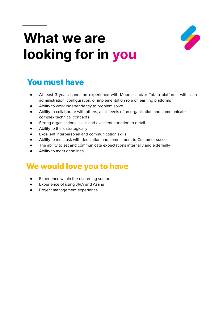### **What we are looking for in you**



#### **You must have**

- At least 3 years hands-on experience with Moodle and/or Totara platforms within an administration, configuration, or implementation role of learning platforms
- Ability to work independently to problem solve
- Ability to collaborate with others, at all levels of an organisation and communicate complex technical concepts
- Strong organisational skills and excellent attention to detail
- Ability to think strategically
- Excellent interpersonal and communication skills
- Ability to multitask with dedication and commitment to Customer success
- The ability to set and communicate expectations internally and externally
- Ability to meet deadlines

#### **We would love you to have**

- Experience within the eLearning sector
- Experience of using JIRA and Asana
- Project management experience